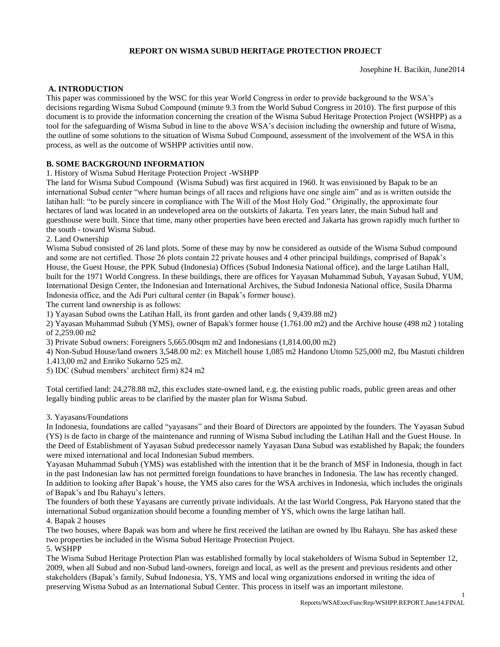## **REPORT ON WISMA SUBUD HERITAGE PROTECTION PROJECT**

Josephine H. Bacikin, June2014

### **A. INTRODUCTION**

This paper was commissioned by the WSC for this year World Congress in order to provide background to the WSA's decisions regarding Wisma Subud Compound (minute 9.3 from the World Subud Congress in 2010). The first purpose of this document is to provide the information concerning the creation of the Wisma Subud Heritage Protection Project (WSHPP) as a tool for the safeguarding of Wisma Subud in line to the above WSA's decision including the ownership and future of Wisma, the outline of some solutions to the situation of Wisma Subud Compound, assessment of the involvement of the WSA in this process, as well as the outcome of WSHPP activities until now.

## **B. SOME BACKGROUND INFORMATION**

1. History of Wisma Subud Heritage Protection Project -WSHPP

The land for Wisma Subud Compound (Wisma Subud) was first acquired in 1960. It was envisioned by Bapak to be an international Subud center "where human beings of all races and religions have one single aim" and as is written outside the latihan hall: "to be purely sincere in compliance with The Will of the Most Holy God." Originally, the approximate four hectares of land was located in an undeveloped area on the outskirts of Jakarta. Ten years later, the main Subud hall and guesthouse were built. Since that time, many other properties have been erected and Jakarta has grown rapidly much further to the south - toward Wisma Subud.

### 2. Land Ownership

Wisma Subud consisted of 26 land plots. Some of these may by now be considered as outside of the Wisma Subud compound and some are not certified. Those 26 plots contain 22 private houses and 4 other principal buildings, comprised of Bapak's House, the Guest House, the PPK Subud (Indonesia) Offices (Subud Indonesia National office), and the large Latihan Hall, built for the 1971 World Congress. In these buildings, there are offices for Yayasan Muhammad Subuh, Yayasan Subud, YUM, International Design Center, the Indonesian and International Archives, the Subud Indonesia National office, Susila Dharma Indonesia office, and the Adi Puri cultural center (in Bapak's former house).

The current land ownership is as follows:

1) Yayasan Subud owns the Latihan Hall, its front garden and other lands ( 9,439.88 m2)

2) Yayasan Muhammad Subuh (YMS), owner of Bapak's former house (1.761.00 m2) and the Archive house (498 m2 ) totaling of 2,259.00 m2

3) Private Subud owners: Foreigners 5,665.00sqm m2 and Indonesians (1,814.00,00 m2)

4) Non-Subud House/land owners 3,548.00 m2: ex Mitchell house 1,085 m2 Handono Utomo 525,000 m2, Ibu Mastuti children

1.413,00 m2 and Enriko Sukarno 525 m2.

5) IDC (Subud members' architect firm) 824 m2

Total certified land: 24,278.88 m2, this excludes state-owned land, e.g. the existing public roads, public green areas and other legally binding public areas to be clarified by the master plan for Wisma Subud.

#### 3. Yayasans/Foundations

In Indonesia, foundations are called "yayasans" and their Board of Directors are appointed by the founders. The Yayasan Subud (YS) is de facto in charge of the maintenance and running of Wisma Subud including the Latihan Hall and the Guest House. In the Deed of Establishment of Yayasan Subud predecessor namely Yayasan Dana Subud was established by Bapak; the founders were mixed international and local Indonesian Subud members.

Yayasan Muhammad Subuh (YMS) was established with the intention that it be the branch of MSF in Indonesia, though in fact in the past Indonesian law has not permitted foreign foundations to have branches in Indonesia. The law has recently changed. In addition to looking after Bapak's house, the YMS also cares for the WSA archives in Indonesia, which includes the originals of Bapak's and Ibu Rahayu's letters.

The founders of both these Yayasans are currently private individuals. At the last World Congress, Pak Haryono stated that the international Subud organization should become a founding member of YS, which owns the large latihan hall. 4. Bapak 2 houses

The two houses, where Bapak was born and where he first received the latihan are owned by Ibu Rahayu. She has asked these two properties be included in the Wisma Subud Heritage Protection Project.

5. WSHPP

The Wisma Subud Heritage Protection Plan was established formally by local stakeholders of Wisma Subud in September 12, 2009, when all Subud and non-Subud land-owners, foreign and local, as well as the present and previous residents and other stakeholders (Bapak's family, Subud Indonesia, YS, YMS and local wing organizations endorsed in writing the idea of preserving Wisma Subud as an International Subud Center. This process in itself was an important milestone.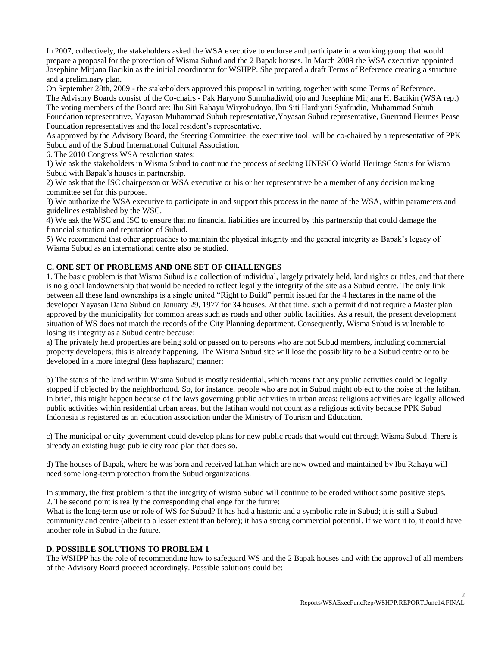In 2007, collectively, the stakeholders asked the WSA executive to endorse and participate in a working group that would prepare a proposal for the protection of Wisma Subud and the 2 Bapak houses. In March 2009 the WSA executive appointed Josephine Mirjana Bacikin as the initial coordinator for WSHPP. She prepared a draft Terms of Reference creating a structure and a preliminary plan.

On September 28th, 2009 - the stakeholders approved this proposal in writing, together with some Terms of Reference. The Advisory Boards consist of the Co-chairs - Pak Haryono Sumohadiwidjojo and Josephine Mirjana H. Bacikin (WSA rep.)

The voting members of the Board are: Ibu Siti Rahayu Wiryohudoyo, Ibu Siti Hardiyati Syafrudin, Muhammad Subuh Foundation representative, Yayasan Muhammad Subuh representative,Yayasan Subud representative, Guerrand Hermes Pease Foundation representatives and the local resident's representative.

As approved by the Advisory Board, the Steering Committee, the executive tool, will be co-chaired by a representative of PPK Subud and of the Subud International Cultural Association.

6. The 2010 Congress WSA resolution states:

1) We ask the stakeholders in Wisma Subud to continue the process of seeking UNESCO World Heritage Status for Wisma Subud with Bapak's houses in partnership.

2) We ask that the ISC chairperson or WSA executive or his or her representative be a member of any decision making committee set for this purpose.

3) We authorize the WSA executive to participate in and support this process in the name of the WSA, within parameters and guidelines established by the WSC.

4) We ask the WSC and ISC to ensure that no financial liabilities are incurred by this partnership that could damage the financial situation and reputation of Subud.

5) We recommend that other approaches to maintain the physical integrity and the general integrity as Bapak's legacy of Wisma Subud as an international centre also be studied.

## **C. ONE SET OF PROBLEMS AND ONE SET OF CHALLENGES**

1. The basic problem is that Wisma Subud is a collection of individual, largely privately held, land rights or titles, and that there is no global landownership that would be needed to reflect legally the integrity of the site as a Subud centre. The only link between all these land ownerships is a single united "Right to Build" permit issued for the 4 hectares in the name of the developer Yayasan Dana Subud on January 29, 1977 for 34 houses. At that time, such a permit did not require a Master plan approved by the municipality for common areas such as roads and other public facilities. As a result, the present development situation of WS does not match the records of the City Planning department. Consequently, Wisma Subud is vulnerable to losing its integrity as a Subud centre because:

a) The privately held properties are being sold or passed on to persons who are not Subud members, including commercial property developers; this is already happening. The Wisma Subud site will lose the possibility to be a Subud centre or to be developed in a more integral (less haphazard) manner;

b) The status of the land within Wisma Subud is mostly residential, which means that any public activities could be legally stopped if objected by the neighborhood. So, for instance, people who are not in Subud might object to the noise of the latihan. In brief, this might happen because of the laws governing public activities in urban areas: religious activities are legally allowed public activities within residential urban areas, but the latihan would not count as a religious activity because PPK Subud Indonesia is registered as an education association under the Ministry of Tourism and Education.

c) The municipal or city government could develop plans for new public roads that would cut through Wisma Subud. There is already an existing huge public city road plan that does so.

d) The houses of Bapak, where he was born and received latihan which are now owned and maintained by Ibu Rahayu will need some long-term protection from the Subud organizations.

In summary, the first problem is that the integrity of Wisma Subud will continue to be eroded without some positive steps. 2. The second point is really the corresponding challenge for the future:

What is the long-term use or role of WS for Subud? It has had a historic and a symbolic role in Subud; it is still a Subud community and centre (albeit to a lesser extent than before); it has a strong commercial potential. If we want it to, it could have another role in Subud in the future.

### **D. POSSIBLE SOLUTIONS TO PROBLEM 1**

The WSHPP has the role of recommending how to safeguard WS and the 2 Bapak houses and with the approval of all members of the Advisory Board proceed accordingly. Possible solutions could be: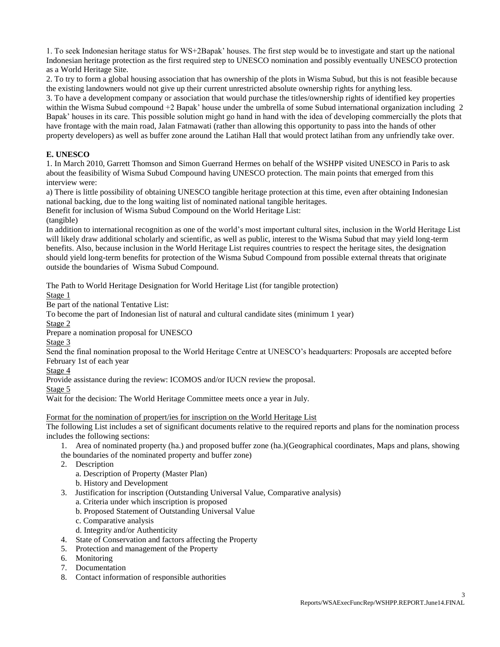1. To seek Indonesian heritage status for WS+2Bapak' houses. The first step would be to investigate and start up the national Indonesian heritage protection as the first required step to UNESCO nomination and possibly eventually UNESCO protection as a World Heritage Site.

2. To try to form a global housing association that has ownership of the plots in Wisma Subud, but this is not feasible because the existing landowners would not give up their current unrestricted absolute ownership rights for anything less.

3. To have a development company or association that would purchase the titles/ownership rights of identified key properties within the Wisma Subud compound +2 Bapak' house under the umbrella of some Subud international organization including 2 Bapak' houses in its care. This possible solution might go hand in hand with the idea of developing commercially the plots that have frontage with the main road, Jalan Fatmawati (rather than allowing this opportunity to pass into the hands of other property developers) as well as buffer zone around the Latihan Hall that would protect latihan from any unfriendly take over.

## **E. UNESCO**

1. In March 2010, Garrett Thomson and Simon Guerrand Hermes on behalf of the WSHPP visited UNESCO in Paris to ask about the feasibility of Wisma Subud Compound having UNESCO protection. The main points that emerged from this interview were:

a) There is little possibility of obtaining UNESCO tangible heritage protection at this time, even after obtaining Indonesian national backing, due to the long waiting list of nominated national tangible heritages.

Benefit for inclusion of Wisma Subud Compound on the World Heritage List:

(tangible)

In addition to international recognition as one of the world's most important cultural sites, inclusion in the World Heritage List will likely draw additional scholarly and scientific, as well as public, interest to the Wisma Subud that may yield long-term benefits. Also, because inclusion in the World Heritage List requires countries to respect the heritage sites, the designation should yield long-term benefits for protection of the Wisma Subud Compound from possible external threats that originate outside the boundaries of Wisma Subud Compound.

The Path to World Heritage Designation for World Heritage List (for tangible protection)

Stage 1

Be part of the national Tentative List:

To become the part of Indonesian list of natural and cultural candidate sites (minimum 1 year)

Stage 2

Prepare a nomination proposal for UNESCO

Stage 3

Send the final nomination proposal to the World Heritage Centre at UNESCO's headquarters: Proposals are accepted before February 1st of each year

Stage 4

Provide assistance during the review: ICOMOS and/or IUCN review the proposal.

Stage 5

Wait for the decision: The World Heritage Committee meets once a year in July.

Format for the nomination of propert/ies for inscription on the World Heritage List

The following List includes a set of significant documents relative to the required reports and plans for the nomination process includes the following sections:

1. Area of nominated property (ha.) and proposed buffer zone (ha.)(Geographical coordinates, Maps and plans, showing

- the boundaries of the nominated property and buffer zone)
- 2. Description
	- a. Description of Property (Master Plan)
	- b. History and Development
- 3. Justification for inscription (Outstanding Universal Value, Comparative analysis)
	- a. Criteria under which inscription is proposed
	- b. Proposed Statement of Outstanding Universal Value
	- c. Comparative analysis
	- d. Integrity and/or Authenticity
- 4. State of Conservation and factors affecting the Property
- 5. Protection and management of the Property
- 6. Monitoring
- 7. Documentation
- 8. Contact information of responsible authorities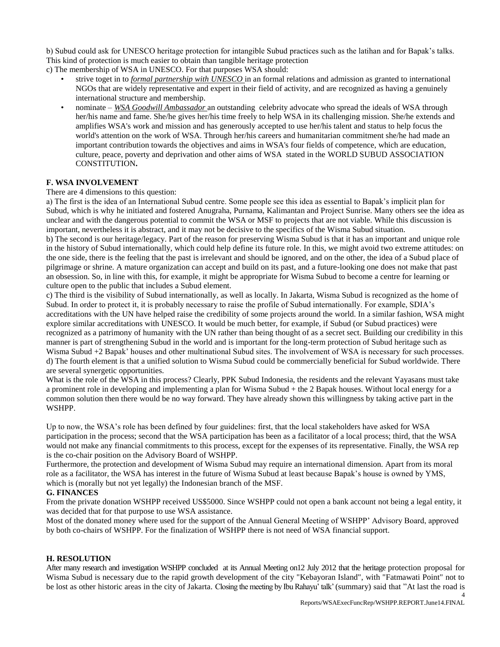b) Subud could ask for UNESCO heritage protection for intangible Subud practices such as the latihan and for Bapak's talks. This kind of protection is much easier to obtain than tangible heritage protection

c) The membership of WSA in UNESCO. For that purposes WSA should:

- strive toget in to *formal partnership with UNESCO* in an formal relations and admission as granted to international NGOs that are widely representative and expert in their field of activity, and are recognized as having a genuinely international structure and membership.
- nominate *WSA Goodwill Ambassador* an outstanding celebrity advocate who spread the ideals of WSA through her/his name and fame. She/he gives her/his time freely to help WSA in its challenging mission. She/he extends and amplifies WSA's work and mission and has generously accepted to use her/his talent and status to help focus the world's attention on the work of WSA. Through her/his careers and humanitarian commitment she/he had made an important contribution towards the objectives and aims in WSA's four fields of competence, which are education, culture, peace, poverty and deprivation and other aims of WSA stated in the WORLD SUBUD ASSOCIATION CONSTITUTION**.**

# **F. WSA INVOLVEMENT**

## There are 4 dimensions to this question:

a) The first is the idea of an International Subud centre. Some people see this idea as essential to Bapak's implicit plan for Subud, which is why he initiated and fostered Anugraha, Purnama, Kalimantan and Project Sunrise. Many others see the idea as unclear and with the dangerous potential to commit the WSA or MSF to projects that are not viable. While this discussion is important, nevertheless it is abstract, and it may not be decisive to the specifics of the Wisma Subud situation.

b) The second is our heritage/legacy. Part of the reason for preserving Wisma Subud is that it has an important and unique role in the history of Subud internationally, which could help define its future role. In this, we might avoid two extreme attitudes: on the one side, there is the feeling that the past is irrelevant and should be ignored, and on the other, the idea of a Subud place of pilgrimage or shrine. A mature organization can accept and build on its past, and a future-looking one does not make that past an obsession. So, in line with this, for example, it might be appropriate for Wisma Subud to become a centre for learning or culture open to the public that includes a Subud element.

c) The third is the visibility of Subud internationally, as well as locally. In Jakarta, Wisma Subud is recognized as the home of Subud. In order to protect it, it is probably necessary to raise the profile of Subud internationally. For example, SDIA's accreditations with the UN have helped raise the credibility of some projects around the world. In a similar fashion, WSA might explore similar accreditations with UNESCO. It would be much better, for example, if Subud (or Subud practices) were recognized as a patrimony of humanity with the UN rather than being thought of as a secret sect. Building our credibility in this manner is part of strengthening Subud in the world and is important for the long-term protection of Subud heritage such as Wisma Subud +2 Bapak' houses and other multinational Subud sites. The involvement of WSA is necessary for such processes. d) The fourth element is that a unified solution to Wisma Subud could be commercially beneficial for Subud worldwide. There are several synergetic opportunities.

What is the role of the WSA in this process? Clearly, PPK Subud Indonesia, the residents and the relevant Yayasans must take a prominent role in developing and implementing a plan for Wisma Subud + the 2 Bapak houses. Without local energy for a common solution then there would be no way forward. They have already shown this willingness by taking active part in the WSHPP.

Up to now, the WSA's role has been defined by four guidelines: first, that the local stakeholders have asked for WSA participation in the process; second that the WSA participation has been as a facilitator of a local process; third, that the WSA would not make any financial commitments to this process, except for the expenses of its representative. Finally, the WSA rep is the co-chair position on the Advisory Board of WSHPP.

Furthermore, the protection and development of Wisma Subud may require an international dimension. Apart from its moral role as a facilitator, the WSA has interest in the future of Wisma Subud at least because Bapak's house is owned by YMS, which is (morally but not yet legally) the Indonesian branch of the MSF.

# **G. FINANCES**

From the private donation WSHPP received US\$5000. Since WSHPP could not open a bank account not being a legal entity, it was decided that for that purpose to use WSA assistance.

Most of the donated money where used for the support of the Annual General Meeting of WSHPP' Advisory Board, approved by both co-chairs of WSHPP. For the finalization of WSHPP there is not need of WSA financial support.

# **H. RESOLUTION**

After many research and investigation WSHPP concluded at its Annual Meeting on12 July 2012 that the heritage protection proposal for Wisma Subud is necessary due to the rapid growth development of the city "Kebayoran Island", with "Fatmawati Point" not to be lost as other historic areas in the city of Jakarta. Closing the meeting by Ibu Rahayu' talk' (summary) said that "At last the road is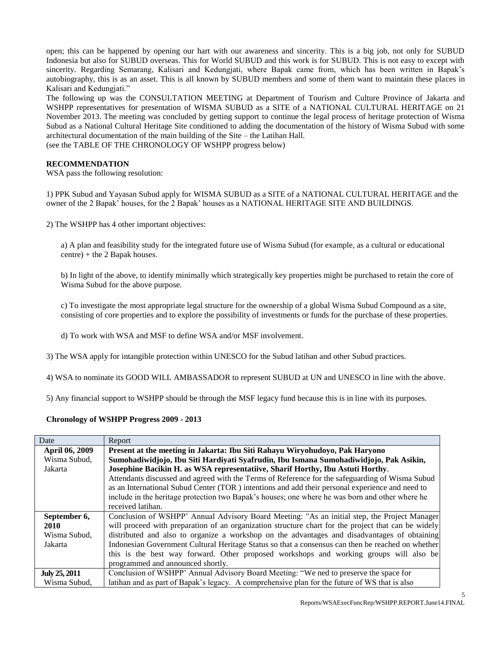open; this can be happened by opening our hart with our awareness and sincerity. This is a big job, not only for SUBUD Indonesia but also for SUBUD overseas. This for World SUBUD and this work is for SUBUD. This is not easy to except with sincerity. Regarding Semarang, Kalisari and Kedungjati, where Bapak came from, which has been written in Bapak's autobiography, this is as an asset. This is all known by SUBUD members and some of them want to maintain these places in Kalisari and Kedungjati."

The following up was the CONSULTATION MEETING at Department of Tourism and Culture Province of Jakarta and WSHPP representatives for presentation of WISMA SUBUD as a SITE of a NATIONAL CULTURAL HERITAGE on 21 November 2013. The meeting was concluded by getting support to continue the legal process of heritage protection of Wisma Subud as a National Cultural Heritage Site conditioned to adding the documentation of the history of Wisma Subud with some architectural documentation of the main building of the Site – the Latihan Hall.

(see the TABLE OF THE CHRONOLOGY OF WSHPP progress below)

### **RECOMMENDATION**

WSA pass the following resolution:

1) PPK Subud and Yayasan Subud apply for WISMA SUBUD as a SITE of a NATIONAL CULTURAL HERITAGE and the owner of the 2 Bapak' houses, for the 2 Bapak' houses as a NATIONAL HERITAGE SITE AND BUILDINGS.

2) The WSHPP has 4 other important objectives:

a) A plan and feasibility study for the integrated future use of Wisma Subud (for example, as a cultural or educational centre) + the 2 Bapak houses.

b) In light of the above, to identify minimally which strategically key properties might be purchased to retain the core of Wisma Subud for the above purpose.

c) To investigate the most appropriate legal structure for the ownership of a global Wisma Subud Compound as a site, consisting of core properties and to explore the possibility of investments or funds for the purchase of these properties.

d) To work with WSA and MSF to define WSA and/or MSF involvement.

3) The WSA apply for intangible protection within UNESCO for the Subud latihan and other Subud practices.

4) WSA to nominate its GOOD WILL AMBASSADOR to represent SUBUD at UN and UNESCO in line with the above.

5) Any financial support to WSHPP should be through the MSF legacy fund because this is in line with its purposes.

### **Chronology of WSHPP Progress 2009 - 2013**

| Date           | Report                                                                                              |
|----------------|-----------------------------------------------------------------------------------------------------|
| April 06, 2009 | Present at the meeting in Jakarta: Ibu Siti Rahayu Wiryohudoyo, Pak Haryono                         |
| Wisma Subud,   | Sumohadiwidjojo, Ibu Siti Hardiyati Syafrudin, Ibu Ismana Sumohadiwidjojo, Pak Asikin,              |
| Jakarta        | Josephine Bacikin H. as WSA representatiive, Sharif Horthy, Ibu Astuti Horthy.                      |
|                | Attendants discussed and agreed with the Terms of Reference for the safeguarding of Wisma Subud     |
|                | as an International Subud Center (TOR) intentions and add their personal experience and need to     |
|                | include in the heritage protection two Bapak's houses; one where he was born and other where he     |
|                | received latihan.                                                                                   |
| September 6,   | Conclusion of WSHPP' Annual Advisory Board Meeting: "As an initial step, the Project Manager        |
| 2010           | will proceed with preparation of an organization structure chart for the project that can be widely |
| Wisma Subud,   | distributed and also to organize a workshop on the advantages and disadvantages of obtaining        |
| Jakarta        | Indonesian Government Cultural Heritage Status so that a consensus can then be reached on whether   |
|                | this is the best way forward. Other proposed workshops and working groups will also be              |
|                | programmed and announced shortly.                                                                   |
| July 25, 2011  | Conclusion of WSHPP' Annual Advisory Board Meeting: "We ned to preserve the space for               |
| Wisma Subud,   | latihan and as part of Bapak's legacy. A comprehensive plan for the future of WS that is also       |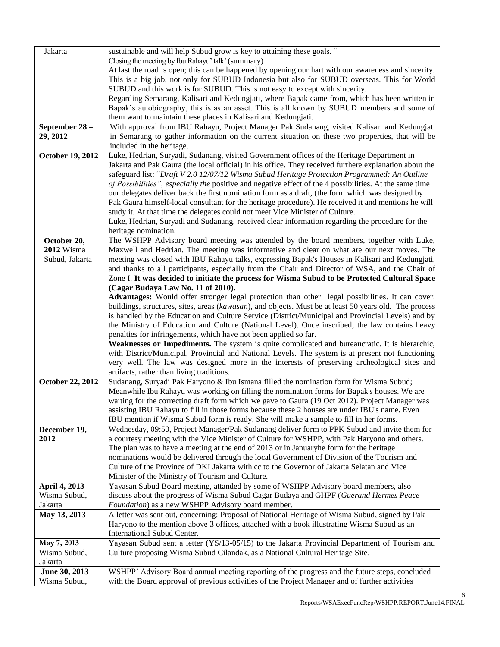| Jakarta                 | sustainable and will help Subud grow is key to attaining these goals. "                                                                                                                 |
|-------------------------|-----------------------------------------------------------------------------------------------------------------------------------------------------------------------------------------|
|                         | Closing the meeting by Ibu Rahayu' talk' (summary)                                                                                                                                      |
|                         | At last the road is open; this can be happened by opening our hart with our awareness and sincerity.                                                                                    |
|                         | This is a big job, not only for SUBUD Indonesia but also for SUBUD overseas. This for World                                                                                             |
|                         | SUBUD and this work is for SUBUD. This is not easy to except with sincerity.                                                                                                            |
|                         | Regarding Semarang, Kalisari and Kedungjati, where Bapak came from, which has been written in                                                                                           |
|                         | Bapak's autobiography, this is as an asset. This is all known by SUBUD members and some of<br>them want to maintain these places in Kalisari and Kedungjati.                            |
| September 28 -          | With approval from IBU Rahayu, Project Manager Pak Sudanang, visited Kalisari and Kedungjati                                                                                            |
| 29, 2012                | in Semarang to gather information on the current situation on these two properties, that will be                                                                                        |
|                         | included in the heritage.                                                                                                                                                               |
| October 19, 2012        | Luke, Hedrian, Suryadi, Sudanang, visited Government offices of the Heritage Department in                                                                                              |
|                         | Jakarta and Pak Gaura (the local official) in his office. They received furthere explanation about the                                                                                  |
|                         | safeguard list: "Draft V 2.0 12/07/12 Wisma Subud Heritage Protection Programmed: An Outline                                                                                            |
|                         | of Possibilities", especially the positive and negative effect of the 4 possibilities. At the same time                                                                                 |
|                         | our delegates deliver back the first nomination form as a draft, (the form which was designed by                                                                                        |
|                         | Pak Gaura himself-local consultant for the heritage procedure). He received it and mentions he will                                                                                     |
|                         | study it. At that time the delegates could not meet Vice Minister of Culture.                                                                                                           |
|                         | Luke, Hedrian, Suryadi and Sudanang, received clear information regarding the procedure for the<br>heritage nomination.                                                                 |
| October 20,             | The WSHPP Advisory board meeting was attended by the board members, together with Luke,                                                                                                 |
| 2012 Wisma              | Maxwell and Hedrian. The meeting was informative and clear on what are our next moves. The                                                                                              |
| Subud, Jakarta          | meeting was closed with IBU Rahayu talks, expressing Bapak's Houses in Kalisari and Kedungjati,                                                                                         |
|                         | and thanks to all participants, especially from the Chair and Director of WSA, and the Chair of                                                                                         |
|                         | Zone I. It was decided to initiate the process for Wisma Subud to be Protected Cultural Space                                                                                           |
|                         | (Cagar Budaya Law No. 11 of 2010).                                                                                                                                                      |
|                         | Advantages: Would offer stronger legal protection than other legal possibilities. It can cover:                                                                                         |
|                         | buildings, structures, sites, areas (kawasan), and objects. Must be at least 50 years old. The process                                                                                  |
|                         | is handled by the Education and Culture Service (District/Municipal and Provincial Levels) and by                                                                                       |
|                         | the Ministry of Education and Culture (National Level). Once inscribed, the law contains heavy<br>penalties for infringements, which have not been applied so far.                      |
|                         | Weaknesses or Impediments. The system is quite complicated and bureaucratic. It is hierarchic,                                                                                          |
|                         | with District/Municipal, Provincial and National Levels. The system is at present not functioning                                                                                       |
|                         | very well. The law was designed more in the interests of preserving archeological sites and                                                                                             |
|                         | artifacts, rather than living traditions.                                                                                                                                               |
| October 22, 2012        | Sudanang, Suryadi Pak Haryono & Ibu Ismana filled the nomination form for Wisma Subud;                                                                                                  |
|                         | Meanwhile Ibu Rahayu was working on filling the nomination forms for Bapak's houses. We are                                                                                             |
|                         | waiting for the correcting draft form which we gave to Gaura (19 Oct 2012). Project Manager was                                                                                         |
|                         | assisting IBU Rahayu to fill in those forms because these 2 houses are under IBU's name. Even<br>IBU mention if Wisma Subud form is ready, She will make a sample to fill in her forms. |
| December 19,            | Wednesday, 09:50, Project Manager/Pak Sudanang deliver form to PPK Subud and invite them for                                                                                            |
| 2012                    | a courtesy meeting with the Vice Minister of Culture for WSHPP, with Pak Haryono and others.                                                                                            |
|                         | The plan was to have a meeting at the end of 2013 or in Januaryhe form for the heritage                                                                                                 |
|                         | nominations would be delivered through the local Government of Division of the Tourism and                                                                                              |
|                         | Culture of the Province of DKI Jakarta with cc to the Governor of Jakarta Selatan and Vice                                                                                              |
|                         | Minister of the Ministry of Tourism and Culture.                                                                                                                                        |
| April 4, 2013           | Yayasan Subud Board meeting, attanded by some of WSHPP Advisory board members, also                                                                                                     |
| Wisma Subud,            | discuss about the progress of Wisma Subud Cagar Budaya and GHPF (Guerand Hermes Peace                                                                                                   |
| Jakarta<br>May 13, 2013 | Foundation) as a new WSHPP Advisory board member.<br>A letter was sent out, concerning: Proposal of National Heritage of Wisma Subud, signed by Pak                                     |
|                         | Haryono to the mention above 3 offices, attached with a book illustrating Wisma Subud as an                                                                                             |
|                         | International Subud Center.                                                                                                                                                             |
| May 7, 2013             | Yayasan Subud sent a letter (YS/13-05/15) to the Jakarta Provincial Department of Tourism and                                                                                           |
| Wisma Subud,            | Culture proposing Wisma Subud Cilandak, as a National Cultural Heritage Site.                                                                                                           |
| Jakarta                 |                                                                                                                                                                                         |
| June 30, 2013           | WSHPP' Advisory Board annual meeting reporting of the progress and the future steps, concluded                                                                                          |
| Wisma Subud,            | with the Board approval of previous activities of the Project Manager and of further activities                                                                                         |